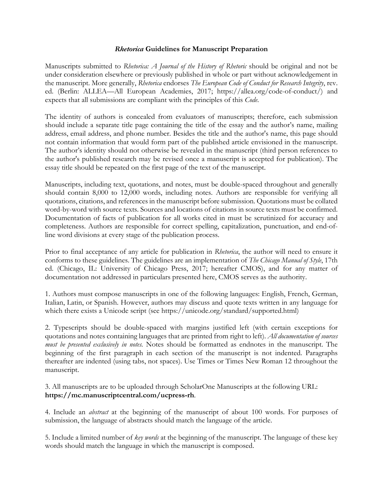### *Rhetorica* **Guidelines for Manuscript Preparation**

Manuscripts submitted to *Rhetorica: A Journal of the History of Rhetoric* should be original and not be under consideration elsewhere or previously published in whole or part without acknowledgement in the manuscript. More generally, *Rhetorica* endorses *The European Code of Conduct for Research Integrity*, rev. ed. (Berlin: ALLEA—All European Academies, 2017; https://allea.org/code-of-conduct/) and expects that all submissions are compliant with the principles of this *Code*.

The identity of authors is concealed from evaluators of manuscripts; therefore, each submission should include a separate title page containing the title of the essay and the author's name, mailing address, email address, and phone number. Besides the title and the author's name, this page should not contain information that would form part of the published article envisioned in the manuscript. The author's identity should not otherwise be revealed in the manuscript (third person references to the author's published research may be revised once a manuscript is accepted for publication). The essay title should be repeated on the first page of the text of the manuscript.

Manuscripts, including text, quotations, and notes, must be double-spaced throughout and generally should contain 8,000 to 12,000 words, including notes. Authors are responsible for verifying all quotations, citations, and references in the manuscript before submission. Quotations must be collated word-by-word with source texts. Sources and locations of citations in source texts must be confirmed. Documentation of facts of publication for all works cited in must be scrutinized for accuracy and completeness. Authors are responsible for correct spelling, capitalization, punctuation, and end-ofline word divisions at every stage of the publication process.

Prior to final acceptance of any article for publication in *Rhetorica*, the author will need to ensure it conforms to these guidelines. The guidelines are an implementation of *The Chicago Manual of Style*, 17th ed. (Chicago, IL: University of Chicago Press, 2017; hereafter CMOS), and for any matter of documentation not addressed in particulars presented here, CMOS serves as the authority.

1. Authors must compose manuscripts in one of the following languages: English, French, German, Italian, Latin, or Spanish. However, authors may discuss and quote texts written in any language for which there exists a Unicode script (see https://unicode.org/standard/supported.html)

2. Typescripts should be double-spaced with margins justified left (with certain exceptions for quotations and notes containing languages that are printed from right to left). *All documentation of sources must be presented exclusively in notes.* Notes should be formatted as endnotes in the manuscript. The beginning of the first paragraph in each section of the manuscript is not indented. Paragraphs thereafter are indented (using tabs, not spaces). Use Times or Times New Roman 12 throughout the manuscript.

3. All manuscripts are to be uploaded through ScholarOne Manuscripts at the following URL: **https://mc.manuscriptcentral.com/ucpress-rh**.

4. Include an *abstract* at the beginning of the manuscript of about 100 words. For purposes of submission, the language of abstracts should match the language of the article.

5. Include a limited number of *key words* at the beginning of the manuscript. The language of these key words should match the language in which the manuscript is composed.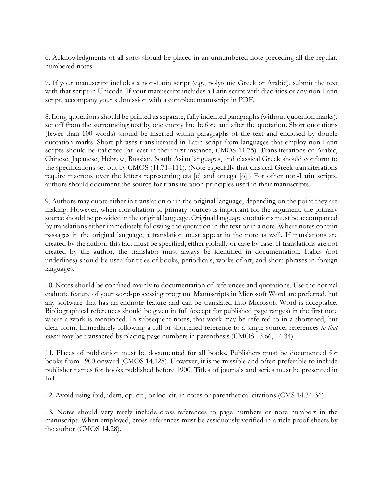6. Acknowledgments of all sorts should be placed in an unnumbered note preceding all the regular, numbered notes.

7. If your manuscript includes a non-Latin script (e.g., polytonic Greek or Arabic), submit the text with that script in Unicode. If your manuscript includes a Latin script with diacritics or any non-Latin script, accompany your submission with a complete manuscript in PDF.

8. Long quotations should be printed as separate, fully indented paragraphs (without quotation marks), set off from the surrounding text by one empty line before and after the quotation. Short quotations (fewer than 100 words) should be inserted within paragraphs of the text and enclosed by double quotation marks. Short phrases transliterated in Latin script from languages that employ non-Latin scripts should be italicized (at least in their first instance, CMOS 11.75). Transliterations of Arabic, Chinese, Japanese, Hebrew, Russian, South Asian languages, and classical Greek should conform to the specifications set out by CMOS (11.71–111). (Note especially that classical Greek transliterations require macrons over the letters representing eta [ē] and omega [ō].) For other non-Latin scripts, authors should document the source for transliteration principles used in their manuscripts.

9. Authors may quote either in translation or in the original language, depending on the point they are making. However, when consultation of primary sources is important for the argument, the primary source should be provided in the original language. Original language quotations must be accompanied by translations either immediately following the quotation in the text or in a note. Where notes contain passages in the original language, a translation must appear in the note as well. If translations are created by the author, this fact must be specified, either globally or case by case. If translations are not created by the author, the translator must always be identified in documentation. Italics (not underlines) should be used for titles of books, periodicals, works of art, and short phrases in foreign languages.

10. Notes should be confined mainly to documentation of references and quotations. Use the normal endnote feature of your word-processing program. Manuscripts in Microsoft Word are preferred, but any software that has an endnote feature and can be translated into Microsoft Word is acceptable. Bibliographical references should be given in full (except for published page ranges) in the first note where a work is mentioned. In subsequent notes, that work may be referred to in a shortened, but clear form. Immediately following a full or shortened reference to a single source, references *to that source* may be transacted by placing page numbers in parenthesis (CMOS 13.66, 14.34)

11. Places of publication must be documented for all books. Publishers must be documented for books from 1900 onward (CMOS 14.128). However, it is permissible and often preferable to include publisher names for books published before 1900. Titles of journals and series must be presented in full.

12. Avoid using ibid, idem, op. cit., or loc. cit. in notes or parenthetical citations (CMS 14.34-36).

13. Notes should very rarely include cross-references to page numbers or note numbers in the manuscript. When employed, cross-references must be assiduously verified in article proof sheets by the author (CMOS 14.28).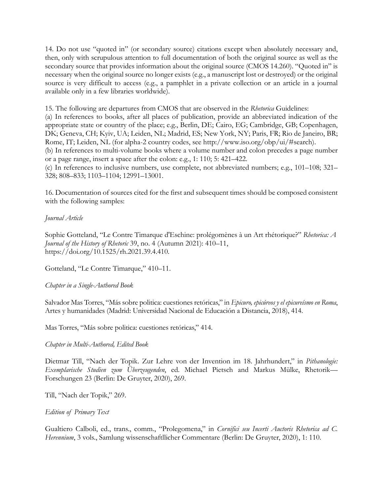14. Do not use "quoted in" (or secondary source) citations except when absolutely necessary and, then, only with scrupulous attention to full documentation of both the original source as well as the secondary source that provides information about the original source (CMOS 14.260). "Quoted in" is necessary when the original source no longer exists (e.g., a manuscript lost or destroyed) or the original source is very difficult to access (e.g., a pamphlet in a private collection or an article in a journal available only in a few libraries worldwide).

15. The following are departures from CMOS that are observed in the *Rhetorica* Guidelines:

(a) In references to books, after all places of publication, provide an abbreviated indication of the appropriate state or country of the place; e.g., Berlin, DE; Cairo, EG; Cambridge, GB; Copenhagen, DK; Geneva, CH; Kyiv, UA; Leiden, NL; Madrid, ES; New York, NY; Paris, FR; Rio de Janeiro, BR; Rome, IT; Leiden, NL (for alpha-2 country codes, see http://www.iso.org/obp/ui/#search).

(b) In references to multi-volume books where a volume number and colon precedes a page number or a page range, insert a space after the colon: e.g., 1: 110; 5: 421–422.

(c) In references to inclusive numbers, use complete, not abbreviated numbers; e.g., 101–108; 321– 328; 808–833; 1103–1104; 12991–13001.

16. Documentation of sources cited for the first and subsequent times should be composed consistent with the following samples:

# *Journal Article*

Sophie Gotteland, "Le Contre Timarque d'Eschine: prolégomènes à un Art rhétorique?" *Rhetorica: A Journal of the History of Rhetoric* 39, no. 4 (Autumn 2021): 410–11, https://doi.org/10.1525/rh.2021.39.4.410.

Gotteland, "Le Contre Timarque," 410–11.

*Chapter in a Single-Authored Book*

Salvador Mas Torres, "Más sobre politica: cuestiones retóricas," in *Epicuro, epicúreos y el epicureísmo en Roma*, Artes y humanidades (Madrid: Universidad Nacional de Educación a Distancia, 2018), 414.

Mas Torres, "Más sobre politica: cuestiones retóricas," 414.

#### *Chapter in Multi-Authored, Edited Book*

Dietmar Till, "Nach der Topik. Zur Lehre von der Invention im 18. Jahrhundert," in *Pithanologie: Exemplarische Studien zum Überzeugenden*, ed. Michael Pietsch and Markus Mülke, Rhetorik— Forschungen 23 (Berlin: De Gruyter, 2020), 269.

Till, "Nach der Topik," 269.

*Edition of Primary Text*

Gualtiero Calboli, ed., trans., comm., "Prolegomena," in *Cornifici seu Incerti Auctoris Rhetorica ad C. Herennium*, 3 vols., Samlung wissenschaftllicher Commentare (Berlin: De Gruyter, 2020), 1: 110.